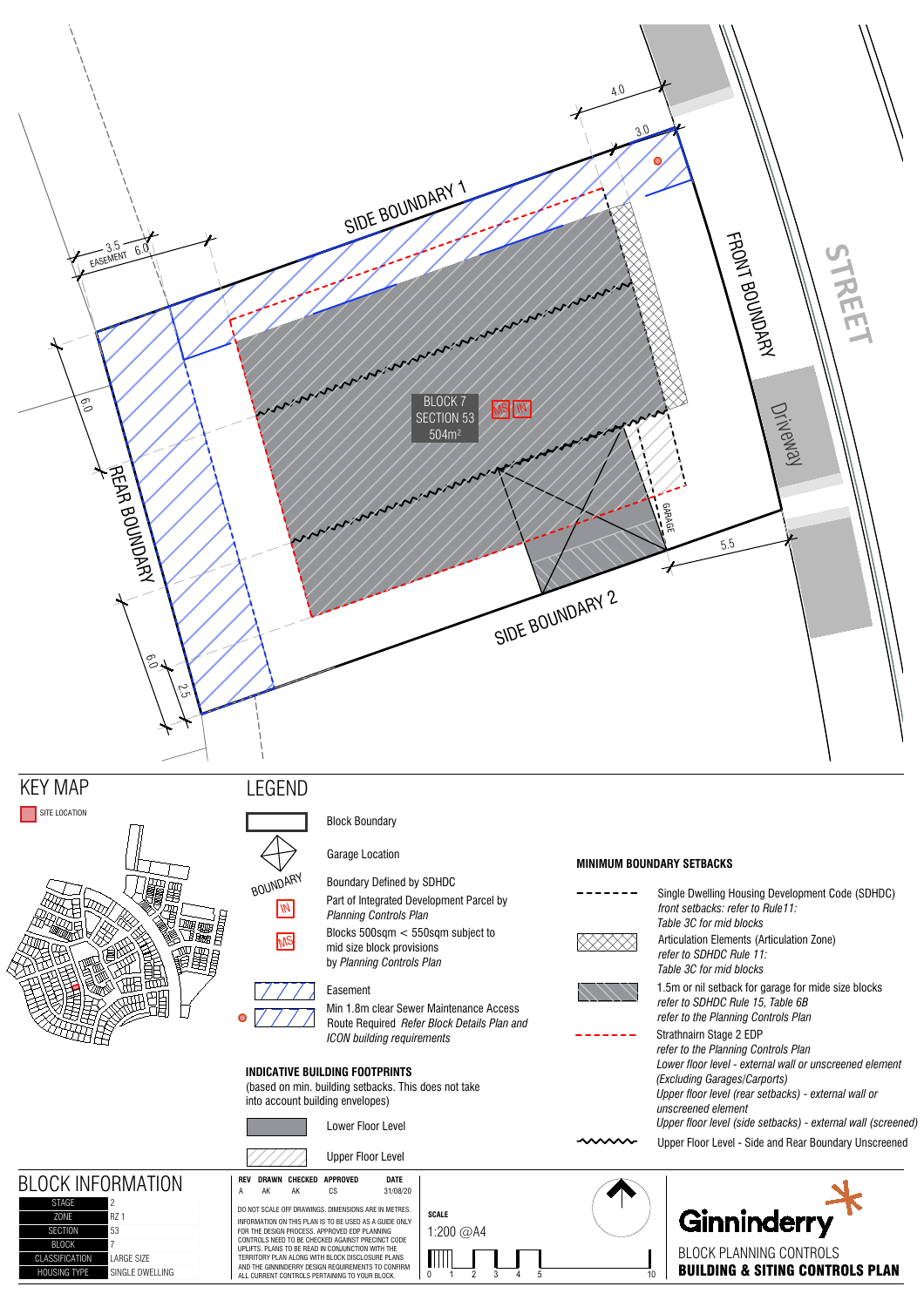